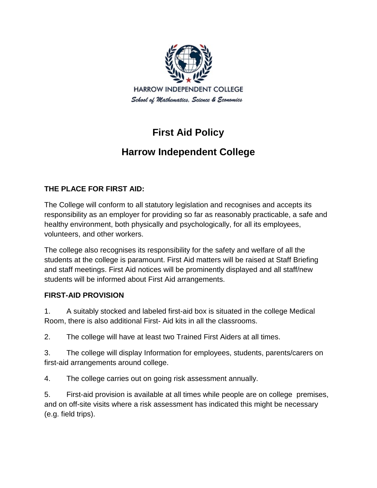

# **First Aid Policy**

# **Harrow Independent College**

## **THE PLACE FOR FIRST AID:**

The College will conform to all statutory legislation and recognises and accepts its responsibility as an employer for providing so far as reasonably practicable, a safe and healthy environment, both physically and psychologically, for all its employees, volunteers, and other workers.

The college also recognises its responsibility for the safety and welfare of all the students at the college is paramount. First Aid matters will be raised at Staff Briefing and staff meetings. First Aid notices will be prominently displayed and all staff/new students will be informed about First Aid arrangements.

## **FIRST-AID PROVISION**

1. A suitably stocked and labeled first-aid box is situated in the college Medical Room, there is also additional First- Aid kits in all the classrooms.

2. The college will have at least two Trained First Aiders at all times.

3. The college will display Information for employees, students, parents/carers on first-aid arrangements around college.

4. The college carries out on going risk assessment annually.

5. First-aid provision is available at all times while people are on college premises, and on off-site visits where a risk assessment has indicated this might be necessary (e.g. field trips).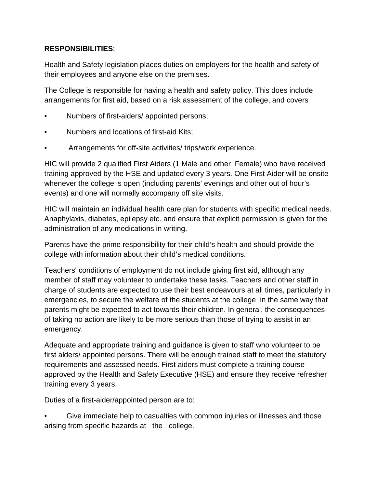### **RESPONSIBILITIES**:

Health and Safety legislation places duties on employers for the health and safety of their employees and anyone else on the premises.

The College is responsible for having a health and safety policy. This does include arrangements for first aid, based on a risk assessment of the college, and covers

- Numbers of first-aiders/ appointed persons;
- Numbers and locations of first-aid Kits;
- Arrangements for off-site activities/ trips/work experience.

HIC will provide 2 qualified First Aiders (1 Male and other Female) who have received training approved by the HSE and updated every 3 years. One First Aider will be onsite whenever the college is open (including parents' evenings and other out of hour's events) and one will normally accompany off site visits.

HIC will maintain an individual health care plan for students with specific medical needs. Anaphylaxis, diabetes, epilepsy etc. and ensure that explicit permission is given for the administration of any medications in writing.

Parents have the prime responsibility for their child's health and should provide the college with information about their child's medical conditions.

Teachers' conditions of employment do not include giving first aid, although any member of staff may volunteer to undertake these tasks. Teachers and other staff in charge of students are expected to use their best endeavours at all times, particularly in emergencies, to secure the welfare of the students at the college in the same way that parents might be expected to act towards their children. In general, the consequences of taking no action are likely to be more serious than those of trying to assist in an emergency.

Adequate and appropriate training and guidance is given to staff who volunteer to be first alders/ appointed persons. There will be enough trained staff to meet the statutory requirements and assessed needs. First aiders must complete a training course approved by the Health and Safety Executive (HSE) and ensure they receive refresher training every 3 years.

Duties of a first-aider/appointed person are to:

• Give immediate help to casualties with common injuries or illnesses and those arising from specific hazards at the college.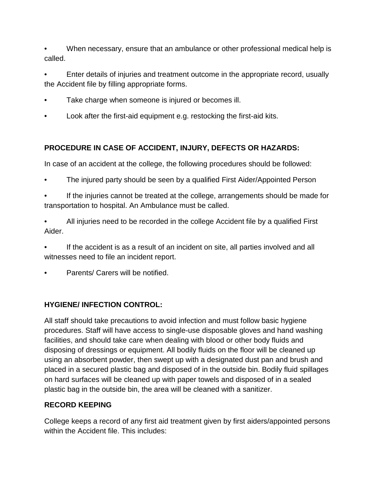• When necessary, ensure that an ambulance or other professional medical help is called.

• Enter details of injuries and treatment outcome in the appropriate record, usually the Accident file by filling appropriate forms.

- Take charge when someone is injured or becomes ill.
- Look after the first-aid equipment e.g. restocking the first-aid kits.

# **PROCEDURE IN CASE OF ACCIDENT, INJURY, DEFECTS OR HAZARDS:**

In case of an accident at the college, the following procedures should be followed:

- The injured party should be seen by a qualified First Aider/Appointed Person
- If the injuries cannot be treated at the college, arrangements should be made for transportation to hospital. An Ambulance must be called.
- All injuries need to be recorded in the college Accident file by a qualified First Aider.

If the accident is as a result of an incident on site, all parties involved and all witnesses need to file an incident report.

• Parents/ Carers will be notified.

# **HYGIENE/ INFECTION CONTROL:**

All staff should take precautions to avoid infection and must follow basic hygiene procedures. Staff will have access to single-use disposable gloves and hand washing facilities, and should take care when dealing with blood or other body fluids and disposing of dressings or equipment. All bodily fluids on the floor will be cleaned up using an absorbent powder, then swept up with a designated dust pan and brush and placed in a secured plastic bag and disposed of in the outside bin. Bodily fluid spillages on hard surfaces will be cleaned up with paper towels and disposed of in a sealed plastic bag in the outside bin, the area will be cleaned with a sanitizer.

# **RECORD KEEPING**

College keeps a record of any first aid treatment given by first aiders/appointed persons within the Accident file. This includes: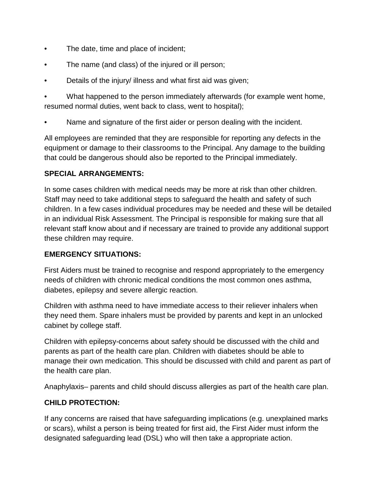- The date, time and place of incident;
- The name (and class) of the injured or ill person;
- Details of the injury/ illness and what first aid was given;

• What happened to the person immediately afterwards (for example went home, resumed normal duties, went back to class, went to hospital);

• Name and signature of the first aider or person dealing with the incident.

All employees are reminded that they are responsible for reporting any defects in the equipment or damage to their classrooms to the Principal. Any damage to the building that could be dangerous should also be reported to the Principal immediately.

#### **SPECIAL ARRANGEMENTS:**

In some cases children with medical needs may be more at risk than other children. Staff may need to take additional steps to safeguard the health and safety of such children. In a few cases individual procedures may be needed and these will be detailed in an individual Risk Assessment. The Principal is responsible for making sure that all relevant staff know about and if necessary are trained to provide any additional support these children may require.

### **EMERGENCY SITUATIONS:**

First Aiders must be trained to recognise and respond appropriately to the emergency needs of children with chronic medical conditions the most common ones asthma, diabetes, epilepsy and severe allergic reaction.

Children with asthma need to have immediate access to their reliever inhalers when they need them. Spare inhalers must be provided by parents and kept in an unlocked cabinet by college staff.

Children with epilepsy-concerns about safety should be discussed with the child and parents as part of the health care plan. Children with diabetes should be able to manage their own medication. This should be discussed with child and parent as part of the health care plan.

Anaphylaxis– parents and child should discuss allergies as part of the health care plan.

### **CHILD PROTECTION:**

If any concerns are raised that have safeguarding implications (e.g. unexplained marks or scars), whilst a person is being treated for first aid, the First Aider must inform the designated safeguarding lead (DSL) who will then take a appropriate action.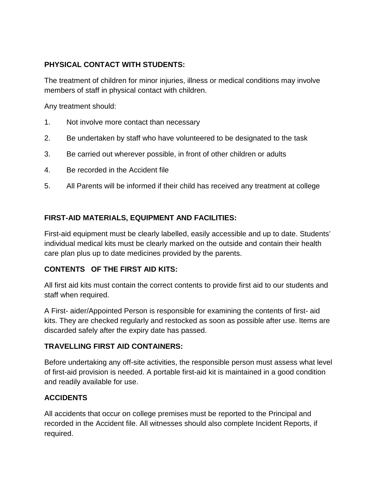### **PHYSICAL CONTACT WITH STUDENTS:**

The treatment of children for minor injuries, illness or medical conditions may involve members of staff in physical contact with children.

Any treatment should:

- 1. Not involve more contact than necessary
- 2. Be undertaken by staff who have volunteered to be designated to the task
- 3. Be carried out wherever possible, in front of other children or adults
- 4. Be recorded in the Accident file
- 5. All Parents will be informed if their child has received any treatment at college

### **FIRST-AID MATERIALS, EQUIPMENT AND FACILITIES:**

First-aid equipment must be clearly labelled, easily accessible and up to date. Students' individual medical kits must be clearly marked on the outside and contain their health care plan plus up to date medicines provided by the parents.

### **CONTENTS OF THE FIRST AID KITS:**

All first aid kits must contain the correct contents to provide first aid to our students and staff when required.

A First- aider/Appointed Person is responsible for examining the contents of first- aid kits. They are checked regularly and restocked as soon as possible after use. Items are discarded safely after the expiry date has passed.

#### **TRAVELLING FIRST AID CONTAINERS:**

Before undertaking any off-site activities, the responsible person must assess what level of first-aid provision is needed. A portable first-aid kit is maintained in a good condition and readily available for use.

### **ACCIDENTS**

All accidents that occur on college premises must be reported to the Principal and recorded in the Accident file. All witnesses should also complete Incident Reports, if required.